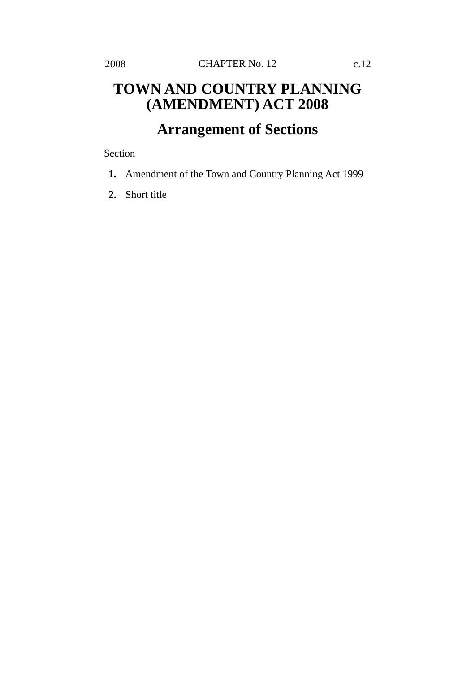## **TOWN AND COUNTRY PLANNING (AMENDMENT) ACT 2008**

## **Arrangement of Sections**

Section

- **1.** Amendment of the Town and Country Planning Act 1999
- **2.** Short title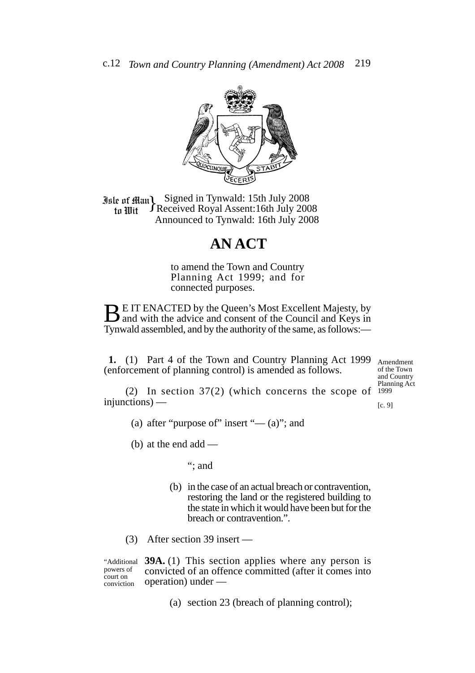

**Jule of Man)** Signed in Tynwald: 15th July 2008<br>In *Mit* FReceived Royal Assent: 16th July 200 Received Royal Assent:16th July 2008 Announced to Tynwald: 16th July 2008 to Wit

## **AN ACT**

to amend the Town and Country Planning Act 1999; and for connected purposes.

**BE IT ENACTED by the Queen's Most Excellent Majesty, by** and with the advice and consent of the Council and Keys in Tynwald assembled, and by the authority of the same, as follows:—

**1.** (1) Part 4 of the Town and Country Planning Act 1999 (enforcement of planning control) is amended as follows.

Amendment of the Town and Country Planning Act 1999

(2) In section 37(2) (which concerns the scope of injunctions) —

[c. 9]

(a) after "purpose of" insert " $-$  (a)"; and

(b) at the end add —

"; and

- (b) in the case of an actual breach or contravention, restoring the land or the registered building to the state in which it would have been but for the breach or contravention.".
- (3) After section 39 insert —

"Additional powers of court on conviction

**39A.** (1) This section applies where any person is convicted of an offence committed (after it comes into operation) under —

(a) section 23 (breach of planning control);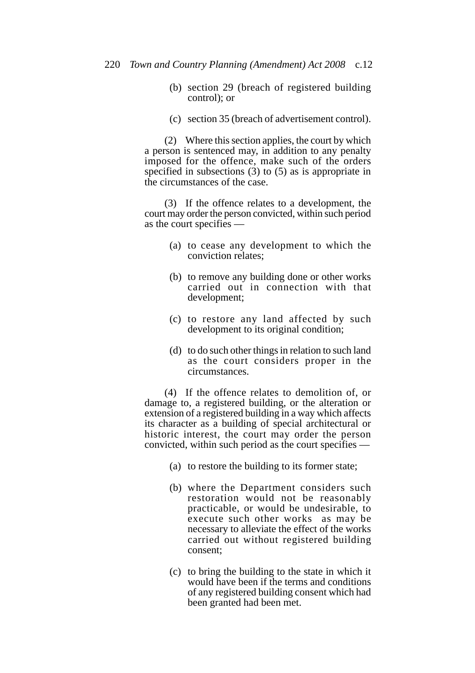- (b) section 29 (breach of registered building control); or
- (c) section 35 (breach of advertisement control).

(2) Where this section applies, the court by which a person is sentenced may, in addition to any penalty imposed for the offence, make such of the orders specified in subsections (3) to (5) as is appropriate in the circumstances of the case.

(3) If the offence relates to a development, the court may order the person convicted, within such period as the court specifies —

- (a) to cease any development to which the conviction relates;
- (b) to remove any building done or other works carried out in connection with that development;
- (c) to restore any land affected by such development to its original condition;
- (d) to do such other things in relation to such land as the court considers proper in the circumstances.

(4) If the offence relates to demolition of, or damage to, a registered building, or the alteration or extension of a registered building in a way which affects its character as a building of special architectural or historic interest, the court may order the person convicted, within such period as the court specifies —

- (a) to restore the building to its former state;
- (b) where the Department considers such restoration would not be reasonably practicable, or would be undesirable, to execute such other works as may be necessary to alleviate the effect of the works carried out without registered building consent;
- (c) to bring the building to the state in which it would have been if the terms and conditions of any registered building consent which had been granted had been met.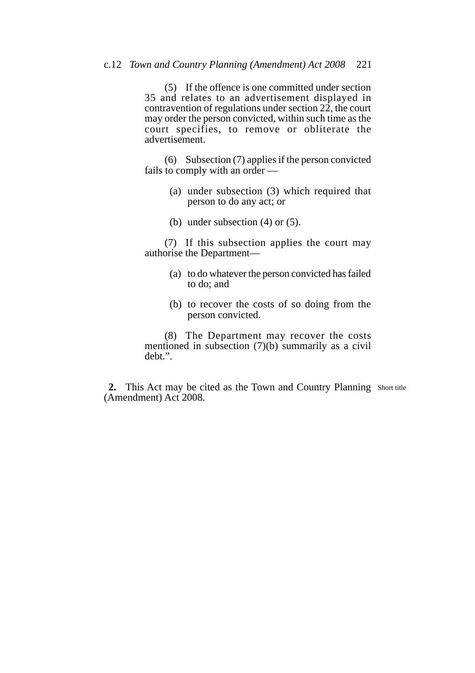(5) If the offence is one committed under section 35 and relates to an advertisement displayed in contravention of regulations under section 22, the court may order the person convicted, within such time as the court specifies, to remove or obliterate the advertisement.

(6) Subsection (7) applies if the person convicted fails to comply with an order —

- (a) under subsection (3) which required that person to do any act; or
- (b) under subsection (4) or (5).

(7) If this subsection applies the court may authorise the Department—

- (a) to do whatever the person convicted has failed to do; and
- (b) to recover the costs of so doing from the person convicted.

(8) The Department may recover the costs mentioned in subsection (7)(b) summarily as a civil debt.".

2. This Act may be cited as the Town and Country Planning Short title (Amendment) Act 2008.